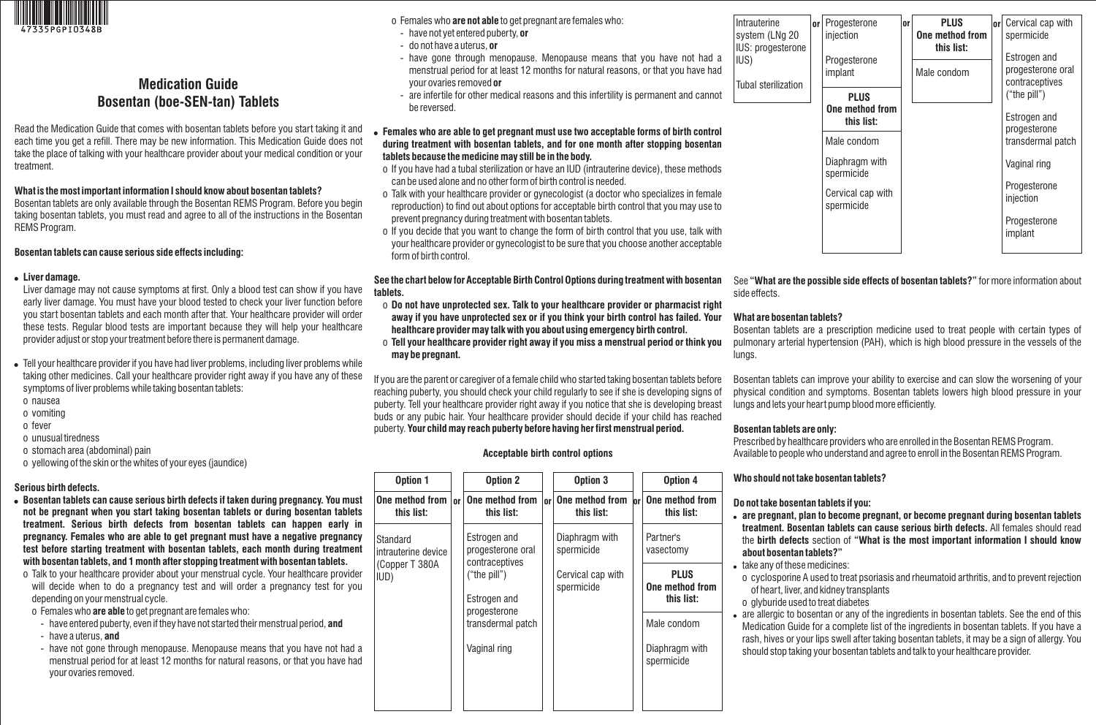

# **Medication Guide Bosentan (boe-SEN-tan) Tablets**

Read the Medication Guide that comes with bosentan tablets before you start taking it and each time you get a refill. There may be new information. This Medication Guide does not take the place of talking with your healthcare provider about your medical condition or your treatment.

#### **What is the most important information I should know about bosentan tablets?**

Bosentan tablets are only available through the Bosentan REMS Program. Before you begin taking bosentan tablets, you must read and agree to all of the instructions in the Bosentan REMS Program.

#### **Bosentan tablets can cause serious side effects including:**

#### **Liver damage.**

Liver damage may not cause symptoms at first. Only a blood test can show if you have early liver damage. You must have your blood tested to check your liver function before you start bosentan tablets and each month after that. Your healthcare provider will order these tests. Regular blood tests are important because they will help your healthcare provider adjust or stop your treatment before there is permanent damage.

 Tell your healthcare provider if you have had liver problems, including liver problems while taking other medicines. Call your healthcare provider right away if you have any of these symptoms of liver problems while taking bosentan tablets:

- o nausea
- o vomiting
- o fever
- o unusual tiredness
- o stomach area (abdominal) pain
- o yellowing of the skin or the whites of your eyes (jaundice)

#### **Serious birth defects.**

- **Bosentan tablets can cause serious birth defects if taken during pregnancy. You must not be pregnant when you start taking bosentan tablets or during bosentan tablets treatment. Serious birth defects from bosentan tablets can happen early in pregnancy. Females who are able to get pregnant must have a negative pregnancy test before starting treatment with bosentan tablets, each month during treatment with bosentan tablets, and 1 month after stopping treatment with bosentan tablets.**
- o Talk to your healthcare provider about your menstrual cycle. Your healthcare provider will decide when to do a pregnancy test and will order a pregnancy test for you depending on your menstrual cycle.
- o Females who **are able** to get pregnant are females who:
- have entered puberty, even if they have not started their menstrual period, **and**
- have a uterus, **and**
- have not gone through menopause. Menopause means that you have not had a menstrual period for at least 12 months for natural reasons, or that you have had your ovaries removed.

o Females who **are not able** to get pregnant are females who:

- have not yet entered puberty, **or**
- do not have a uterus, **or**
- have gone through menopause. Menopause means that you have not had a menstrual period for at least 12 months for natural reasons, or that you have had your ovaries removed **or**
- are infertile for other medical reasons and this infertility is permanent and cannot be reversed.

#### **Females who are able to get pregnant must use two acceptable forms of birth control during treatment with bosentan tablets, and for one month after stopping bosentan tablets because the medicine may still be in the body.**

- o If you have had a tubal sterilization or have an IUD (intrauterine device), these methods can be used alone and no other form of birth control is needed.
- o Talk with your healthcare provider or gynecologist (a doctor who specializes in female reproduction) to find out about options for acceptable birth control that you may use to prevent pregnancy during treatment with bosentan tablets.
- o If you decide that you want to change the form of birth control that you use, talk with your healthcare provider or gynecologist to be sure that you choose another acceptable form of birth control.

**See the chart below for Acceptable Birth Control Options during treatment with bosentan tablets.** 

- o **Do not have unprotected sex. Talk to your healthcare provider or pharmacist right away if you have unprotected sex or if you think your birth control has failed. Your healthcare provider may talk with you about using emergency birth control.**
- o **Tell your healthcare provider right away if you miss a menstrual period or think you may be pregnant.**

If you are the parent or caregiver of a female child who started taking bosentan tablets before reaching puberty, you should check your child regularly to see if she is developing signs of puberty. Tell your healthcare provider right away if you notice that she is developing breast buds or any pubic hair. Your healthcare provider should decide if your child has reached puberty. **Your child may reach puberty before having her first menstrual period.** 

#### **Acceptable birth control options**

| Option 1                        |           | <b>Option 2</b>                                     |           | Option 3                        |    | Option 4                                     |
|---------------------------------|-----------|-----------------------------------------------------|-----------|---------------------------------|----|----------------------------------------------|
| One method from  <br>this list: | <b>or</b> | One method from<br>this list:                       | <b>nr</b> | One method from<br>this list:   | or | One method from<br>this list:                |
| Standard<br>intrauterine device |           | Estrogen and<br>progesterone oral<br>contraceptives |           | Diaphragm with<br>spermicide    |    | Partner's<br>vasectomy                       |
| (Copper T 380A<br>IUD)          |           | ("the pill")<br>Estrogen and                        |           | Cervical cap with<br>spermicide |    | <b>PLUS</b><br>One method from<br>this list: |
|                                 |           | progesterone<br>transdermal patch                   |           |                                 |    | Male condom                                  |
|                                 |           | Vaginal ring                                        |           |                                 |    | Diaphragm with<br>spermicide                 |
|                                 |           |                                                     |           |                                 |    |                                              |

| Intrauterine<br>system (LNg 20<br>IUS: progesterone | or <sub>l</sub> | Progesterone<br>injection       | <b>or</b> | <b>PLUS</b><br>One method from<br>this list: |  | <b>or</b> Cervical cap with<br>spermicide<br>Estrogen and<br>progesterone oral<br>contraceptives |
|-----------------------------------------------------|-----------------|---------------------------------|-----------|----------------------------------------------|--|--------------------------------------------------------------------------------------------------|
| IUS)<br>Tubal sterilization                         |                 | Progesterone<br>implant         |           | Male condom                                  |  |                                                                                                  |
|                                                     |                 | <b>PLUS</b>                     |           |                                              |  | ("the pill")                                                                                     |
|                                                     |                 | One method from<br>this list:   |           |                                              |  | Estrogen and<br>progesterone                                                                     |
|                                                     |                 | Male condom                     |           |                                              |  | transdermal patch                                                                                |
|                                                     |                 | Diaphragm with<br>spermicide    |           |                                              |  | Vaginal ring                                                                                     |
|                                                     |                 | Cervical cap with<br>spermicide |           |                                              |  | Progesterone<br>injection                                                                        |
|                                                     |                 |                                 |           |                                              |  | Progesterone<br>implant                                                                          |
|                                                     |                 |                                 |           |                                              |  |                                                                                                  |

See **"What are the possible side effects of bosentan tablets?"** for more information about side effects.

## **What are bosentan tablets?**

Bosentan tablets are a prescription medicine used to treat people with certain types of pulmonary arterial hypertension (PAH), which is high blood pressure in the vessels of the lungs.

Bosentan tablets can improve your ability to exercise and can slow the worsening of your physical condition and symptoms. Bosentan tablets lowers high blood pressure in your lungs and lets your heart pump blood more efficiently.

## **Bosentan tablets are only:**

Prescribed by healthcare providers who are enrolled in the Bosentan REMS Program. Available to people who understand and agree to enroll in the Bosentan REMS Program.

# **Who should not take bosentan tablets?**

## **Do not take bosentan tablets if you:**

- **are pregnant, plan to become pregnant, or become pregnant during bosentan tablets treatment. Bosentan tablets can cause serious birth defects.** All females should read the **birth defects** section of **"What is the most important information I should know about bosentan tablets?"**
- take any of these medicines:
	- o cyclosporine A used to treat psoriasis and rheumatoid arthritis, and to prevent rejection of heart, liver, and kidney transplants
- o glyburide used to treat diabetes
- are allergic to bosentan or any of the ingredients in bosentan tablets. See the end of this Medication Guide for a complete list of the ingredients in bosentan tablets. If you have a rash, hives or your lips swell after taking bosentan tablets, it may be a sign of allergy. You should stop taking your bosentan tablets and talk to your healthcare provider.